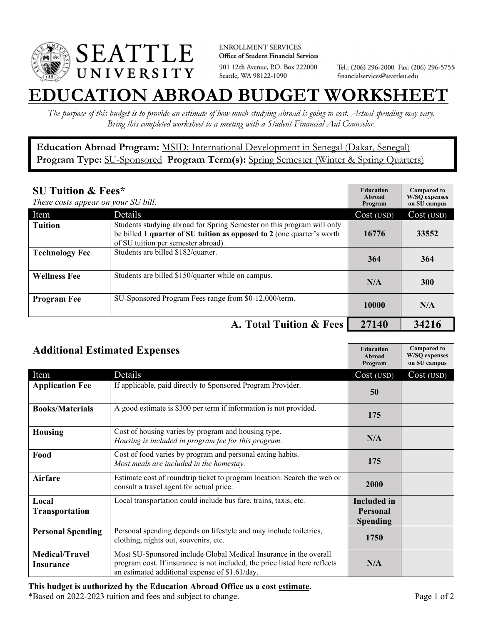

**ENROLLMENT SERVICES** Office of Student Financial Services 901 12th Avenue, P.O. Box 222000 Seattle, WA 98122-1090

Tel.: (206) 296-2000 Fax: (206) 296-5755 financialservices@seattleu.edu

## **EATION ABROAD BUDGET WORKSHEE**

*The purpose of this budget is to provide an estimate of how much studying abroad is going to cost. Actual spending may vary. Bring this completed worksheet to a meeting with a Student Financial Aid Counselor.* 

**Education Abroad Program:** MSID: International Development in Senegal (Dakar, Senegal) Program Type: **SU-Sponsored** Program Term(s): **Spring Semester** (Winter & Spring Quarters)

| <b>SU Tuition &amp; Fees*</b><br>These costs appear on your SU bill. |                                                                                                                                                                                         | <b>Education</b><br>Abroad<br>Program | <b>Compared to</b><br><b>W/SO</b> expenses<br>on SU campus |
|----------------------------------------------------------------------|-----------------------------------------------------------------------------------------------------------------------------------------------------------------------------------------|---------------------------------------|------------------------------------------------------------|
| Item                                                                 | Details                                                                                                                                                                                 | Cost (USD)                            | Cost (USD)                                                 |
| <b>Tuition</b>                                                       | Students studying abroad for Spring Semester on this program will only<br>be billed 1 quarter of SU tuition as opposed to 2 (one quarter's worth<br>of SU tuition per semester abroad). | 16776                                 | 33552                                                      |
| <b>Technology Fee</b>                                                | Students are billed \$182/quarter.                                                                                                                                                      | 364                                   | 364                                                        |
| <b>Wellness Fee</b>                                                  | Students are billed \$150/quarter while on campus.                                                                                                                                      | N/A                                   | <b>300</b>                                                 |
| <b>Program Fee</b>                                                   | SU-Sponsored Program Fees range from \$0-12,000/term.                                                                                                                                   | 10000                                 | N/A                                                        |
|                                                                      | A. Total Tuition & Fees                                                                                                                                                                 | 27140                                 | 34216                                                      |

| <b>Additional Estimated Expenses</b> |                                                                                                                                                                                                   | <b>Education</b><br>Abroad<br>Program | <b>Compared to</b><br><b>W/SQ</b> expenses<br>on SU campus |
|--------------------------------------|---------------------------------------------------------------------------------------------------------------------------------------------------------------------------------------------------|---------------------------------------|------------------------------------------------------------|
| Item                                 | Details                                                                                                                                                                                           | Cost (USD)                            | Cost (USD)                                                 |
| <b>Application Fee</b>               | If applicable, paid directly to Sponsored Program Provider.                                                                                                                                       | 50                                    |                                                            |
| <b>Books/Materials</b>               | A good estimate is \$300 per term if information is not provided.                                                                                                                                 | 175                                   |                                                            |
| <b>Housing</b>                       | Cost of housing varies by program and housing type.<br>Housing is included in program fee for this program.                                                                                       | N/A                                   |                                                            |
| Food                                 | Cost of food varies by program and personal eating habits.<br>Most meals are included in the homestay.                                                                                            | 175                                   |                                                            |
| Airfare                              | Estimate cost of roundtrip ticket to program location. Search the web or<br>consult a travel agent for actual price.                                                                              | 2000                                  |                                                            |
| Local                                | Local transportation could include bus fare, trains, taxis, etc.                                                                                                                                  | <b>Included</b> in                    |                                                            |
| <b>Transportation</b>                |                                                                                                                                                                                                   | <b>Personal</b>                       |                                                            |
|                                      |                                                                                                                                                                                                   | <b>Spending</b>                       |                                                            |
| <b>Personal Spending</b>             | Personal spending depends on lifestyle and may include toiletries,<br>clothing, nights out, souvenirs, etc.                                                                                       | 1750                                  |                                                            |
| <b>Medical/Travel</b><br>Insurance   | Most SU-Sponsored include Global Medical Insurance in the overall<br>program cost. If insurance is not included, the price listed here reflects<br>an estimated additional expense of \$1.61/day. | N/A                                   |                                                            |

\*Based on 2022-2023 tuition and fees and subject to change. Page 1 of 2